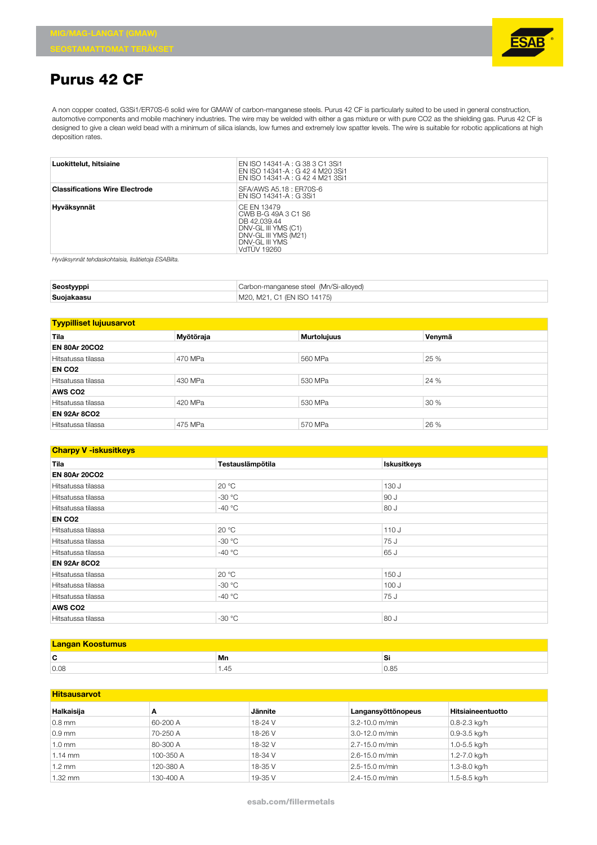

## **Purus 42 CF**

A non copper coated, G3Si1/ER70S-6 solid wire for GMAW of carbon-manganese steels. Purus 42 CF is particularly suited to be used in general construction, automotive components and mobile machinery industries. The wire may be welded with either a gas mixture or with pure CO2 as the shielding gas. Purus 42 CF is designed to give a clean weld bead with a minimum of silica islands, low fumes and extremely low spatter levels. The wire is suitable for robotic applications at high deposition rates.

| Luokittelut, hitsiaine                | EN ISO 14341-A : G 38 3 C1 3Si1<br>EN ISO 14341-A : G 42 4 M20 3Si1<br>EN ISO 14341-A : G 42 4 M21 3Si1                                   |
|---------------------------------------|-------------------------------------------------------------------------------------------------------------------------------------------|
| <b>Classifications Wire Electrode</b> | SFA/AWS A5.18: ER70S-6<br>EN ISO 14341-A : G 3Si1                                                                                         |
| Hyväksynnät                           | CE FN 13479<br>CWB B-G 49A 3 C1 S6<br>DB 42.039.44<br>DNV-GL III YMS (C1)<br>DNV-GL III YMS (M21)<br>DNV-GL III YMS<br><b>VdTUV 19260</b> |

*Hyväksynnät tehdaskohtaisia, lisätietoja ESABilta.*

| Seostyyppi | Carbon-manganese steel (Mn/Si-alloyed) |  |
|------------|----------------------------------------|--|
| Suojakaasu | M20. M21. C1 (EN ISO 14175)            |  |

| <b>Tyypilliset lujuusarvot</b> |           |                    |        |  |
|--------------------------------|-----------|--------------------|--------|--|
| Tila                           | Myötöraja | <b>Murtolujuus</b> | Venymä |  |
| <b>EN 80Ar 20CO2</b>           |           |                    |        |  |
| Hitsatussa tilassa             | 470 MPa   | 560 MPa            | 25 %   |  |
| EN CO <sub>2</sub>             |           |                    |        |  |
| Hitsatussa tilassa             | 430 MPa   | 530 MPa            | 24 %   |  |
| AWS CO <sub>2</sub>            |           |                    |        |  |
| Hitsatussa tilassa             | 420 MPa   | 530 MPa            | 30 %   |  |
| <b>EN 92Ar 8CO2</b>            |           |                    |        |  |
| Hitsatussa tilassa             | 475 MPa   | 570 MPa            | 26 %   |  |

## **Charpy V -iskusitkeys**

| Testauslämpötila<br>Tila              |          | <b>Iskusitkeys</b> |  |
|---------------------------------------|----------|--------------------|--|
| <b>EN 80Ar 20CO2</b>                  |          |                    |  |
| Hitsatussa tilassa                    | 20 °C    | 130 J              |  |
| Hitsatussa tilassa                    | $-30 °C$ | 90 J               |  |
| -40 $\degree$ C<br>Hitsatussa tilassa |          | 80 J               |  |
| EN CO <sub>2</sub>                    |          |                    |  |
| Hitsatussa tilassa                    | 20 °C    | 110 J              |  |
| Hitsatussa tilassa                    | $-30 °C$ | 75 J               |  |
| Hitsatussa tilassa                    | $-40 °C$ | 65 J               |  |
| <b>EN 92Ar 8CO2</b>                   |          |                    |  |
| Hitsatussa tilassa                    | 20 °C    | 150 J              |  |
| Hitsatussa tilassa                    | $-30 °C$ | 100 J              |  |
| -40 $\degree$ C<br>Hitsatussa tilassa |          | 75 J               |  |
| AWS CO <sub>2</sub>                   |          |                    |  |
| Hitsatussa tilassa                    | $-30 °C$ | 80 J               |  |

| ◠<br>ັ | Mn   | Si   |  |
|--------|------|------|--|
| 0.08   | 1.45 | 0.85 |  |

| <b>Hitsausarvot</b> |           |         |                    |                   |
|---------------------|-----------|---------|--------------------|-------------------|
| Halkaisija          | A         | Jännite | Langansyöttönopeus | Hitsiaineentuotto |
| $0.8$ mm            | 60-200 A  | 18-24 V | 3.2-10.0 m/min     | $0.8 - 2.3$ kg/h  |
| $0.9$ mm            | 70-250 A  | 18-26 V | 3.0-12.0 m/min     | $0.9 - 3.5$ kg/h  |
| $1.0 \text{ mm}$    | 80-300 A  | 18-32 V | 2.7-15.0 m/min     | 1.0-5.5 kg/h      |
| $1.14$ mm           | 100-350 A | 18-34 V | 2.6-15.0 m/min     | 1.2-7.0 kg/h      |
| 1.2 mm              | 120-380 A | 18-35 V | 2.5-15.0 m/min     | 1.3-8.0 kg/h      |
| 1.32 mm             | 130-400 A | 19-35 V | 2.4-15.0 m/min     | 1.5-8.5 kg/h      |